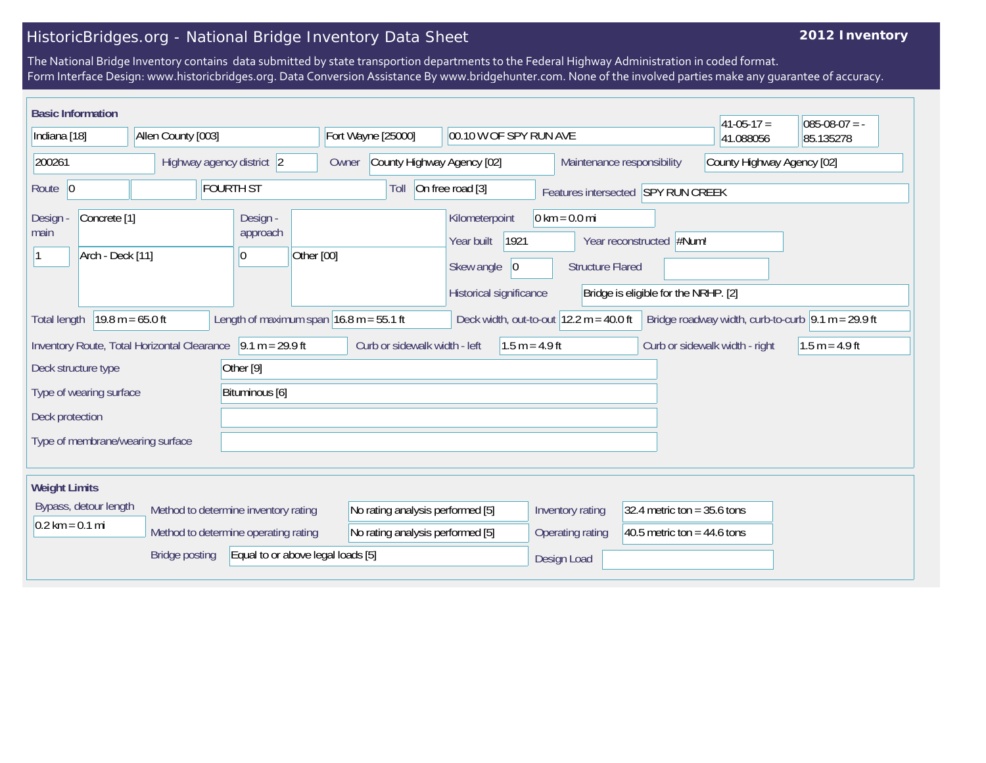## HistoricBridges.org - National Bridge Inventory Data Sheet

## **2012 Inventory**

The National Bridge Inventory contains data submitted by state transportion departments to the Federal Highway Administration in coded format. Form Interface Design: www.historicbridges.org. Data Conversion Assistance By www.bridgehunter.com. None of the involved parties make any guarantee of accuracy.

| <b>Basic Information</b>                                                                                                                                                                                                          |  |  |                                          |                                                                |                                                                              |                                                   |                  |                                                                                                                                |           |           | $ 41-05-17 =$                  | $085-08-07 = -$  |
|-----------------------------------------------------------------------------------------------------------------------------------------------------------------------------------------------------------------------------------|--|--|------------------------------------------|----------------------------------------------------------------|------------------------------------------------------------------------------|---------------------------------------------------|------------------|--------------------------------------------------------------------------------------------------------------------------------|-----------|-----------|--------------------------------|------------------|
| Allen County [003]<br>Indiana [18]                                                                                                                                                                                                |  |  |                                          | Fort Wayne [25000]                                             |                                                                              | 00.10 W OF SPY RUN AVE                            |                  |                                                                                                                                | 41.088056 | 85.135278 |                                |                  |
| 200261<br>Highway agency district 2                                                                                                                                                                                               |  |  |                                          | County Highway Agency [02]<br>Owner                            |                                                                              |                                                   |                  | County Highway Agency [02]<br>Maintenance responsibility                                                                       |           |           |                                |                  |
| <b>FOURTH ST</b><br>Route $\vert 0 \vert$                                                                                                                                                                                         |  |  |                                          | On free road [3]<br>Toll<br>Features intersected SPY RUN CREEK |                                                                              |                                                   |                  |                                                                                                                                |           |           |                                |                  |
| Concrete <sup>[1]</sup><br><b>Design</b><br>main<br>Arch - Deck [11]                                                                                                                                                              |  |  | Design -<br>approach<br>Other [00]<br>10 |                                                                | Kilometerpoint<br>Year built<br>Skew angle<br> 0 <br>Historical significance |                                                   | 1921             | $0 \text{ km} = 0.0 \text{ mi}$<br>Year reconstructed #Num!<br><b>Structure Flared</b><br>Bridge is eligible for the NRHP. [2] |           |           |                                |                  |
| $19.8 m = 65.0 ft$<br>Length of maximum span $16.8$ m = 55.1 ft<br>Deck width, out-to-out $12.2 \text{ m} = 40.0 \text{ ft}$<br>Bridge roadway width, curb-to-curb $\vert 9.1 \text{ m} = 29.9 \text{ ft}$<br><b>Total length</b> |  |  |                                          |                                                                |                                                                              |                                                   |                  |                                                                                                                                |           |           |                                |                  |
| Inventory Route, Total Horizontal Clearance 9.1 m = 29.9 ft                                                                                                                                                                       |  |  |                                          |                                                                |                                                                              | Curb or sidewalk width - left                     |                  | $1.5 m = 4.9 ft$                                                                                                               |           |           | Curb or sidewalk width - right | $1.5 m = 4.9 ft$ |
| Deck structure type                                                                                                                                                                                                               |  |  |                                          | Other <sup>[9]</sup>                                           |                                                                              |                                                   |                  |                                                                                                                                |           |           |                                |                  |
| Bituminous [6]<br>Type of wearing surface                                                                                                                                                                                         |  |  |                                          |                                                                |                                                                              |                                                   |                  |                                                                                                                                |           |           |                                |                  |
| Deck protection                                                                                                                                                                                                                   |  |  |                                          |                                                                |                                                                              |                                                   |                  |                                                                                                                                |           |           |                                |                  |
| Type of membrane/wearing surface                                                                                                                                                                                                  |  |  |                                          |                                                                |                                                                              |                                                   |                  |                                                                                                                                |           |           |                                |                  |
| <b>Weight Limits</b>                                                                                                                                                                                                              |  |  |                                          |                                                                |                                                                              |                                                   |                  |                                                                                                                                |           |           |                                |                  |
| Bypass, detour length<br>Method to determine inventory rating                                                                                                                                                                     |  |  | No rating analysis performed [5]         |                                                                |                                                                              | Inventory rating<br>32.4 metric ton = $35.6$ tons |                  |                                                                                                                                |           |           |                                |                  |
| $0.2 \text{ km} = 0.1 \text{ mi}$<br>Method to determine operating rating                                                                                                                                                         |  |  |                                          | No rating analysis performed [5]                               |                                                                              |                                                   | Operating rating | 40.5 metric ton = $44.6$ tons                                                                                                  |           |           |                                |                  |
| Equal to or above legal loads [5]<br><b>Bridge posting</b>                                                                                                                                                                        |  |  |                                          |                                                                |                                                                              |                                                   | Design Load      |                                                                                                                                |           |           |                                |                  |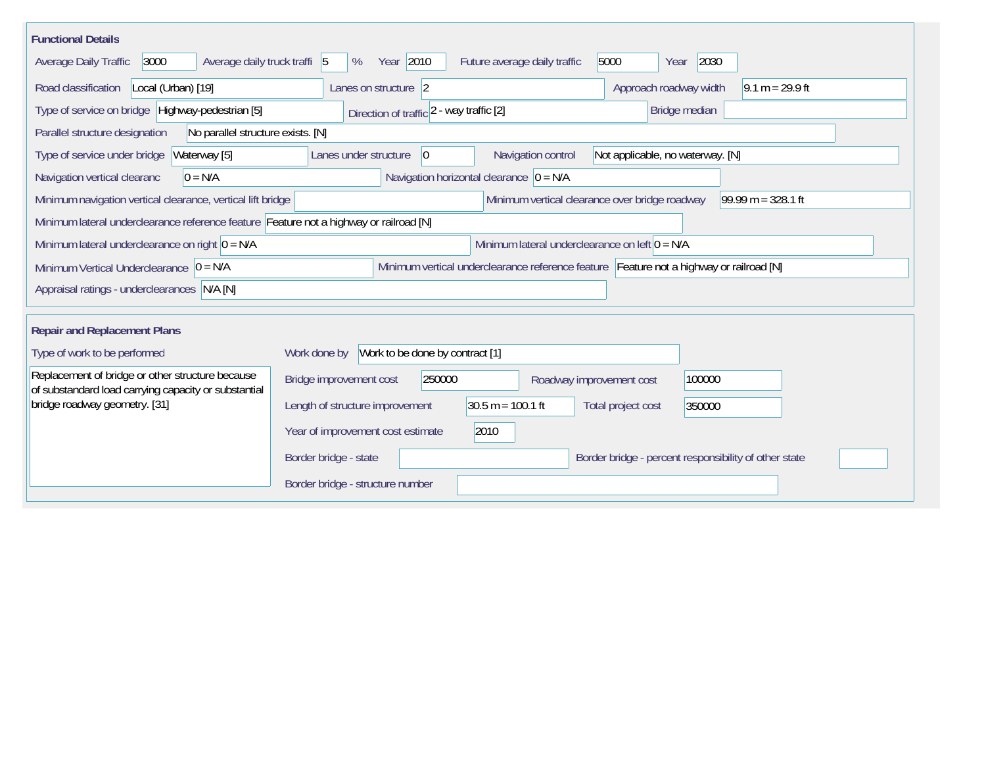| <b>Functional Details</b>                                                                                |                                                                                                   |
|----------------------------------------------------------------------------------------------------------|---------------------------------------------------------------------------------------------------|
| 3000<br>Average daily truck traffi 5<br>Average Daily Traffic                                            | Year 2010<br>2030<br>5000<br>%<br>Future average daily traffic<br>Year                            |
| Road classification<br>Local (Urban) [19]                                                                | Approach roadway width<br>$9.1 m = 29.9 ft$<br>Lanes on structure 2                               |
| Type of service on bridge Highway-pedestrian [5]                                                         | Bridge median<br>Direction of traffic 2 - way traffic [2]                                         |
| Parallel structure designation<br>No parallel structure exists. [N]                                      |                                                                                                   |
| Waterway [5]<br>Type of service under bridge                                                             | Navigation control<br>Not applicable, no waterway. [N]<br>Lanes under structure<br>$\overline{0}$ |
| Navigation vertical clearanc<br>$0 = N/A$                                                                | Navigation horizontal clearance $ 0 = N/A$                                                        |
| Minimum navigation vertical clearance, vertical lift bridge                                              | Minimum vertical clearance over bridge roadway<br>99.99 m = $328.1$ ft                            |
| Minimum lateral underclearance reference feature Feature not a highway or railroad [N]                   |                                                                                                   |
| Minimum lateral underclearance on right $0 = N/A$                                                        | Minimum lateral underclearance on left $0 = N/A$                                                  |
| Minimum Vertical Underclearance $ 0 = N/A$                                                               | Minimum vertical underclearance reference feature Feature not a highway or railroad [N]           |
| Appraisal ratings - underclearances N/A [N]                                                              |                                                                                                   |
|                                                                                                          |                                                                                                   |
| <b>Repair and Replacement Plans</b>                                                                      |                                                                                                   |
| Type of work to be performed                                                                             | Work to be done by contract [1]<br>Work done by                                                   |
| Replacement of bridge or other structure because<br>of substandard load carrying capacity or substantial | 250000<br>Bridge improvement cost<br>100000<br>Roadway improvement cost                           |
| bridge roadway geometry. [31]                                                                            | $30.5 m = 100.1 ft$<br>Length of structure improvement<br>Total project cost<br>350000            |
|                                                                                                          | 2010<br>Year of improvement cost estimate                                                         |
|                                                                                                          | Border bridge - state<br>Border bridge - percent responsibility of other state                    |
|                                                                                                          | Border bridge - structure number                                                                  |